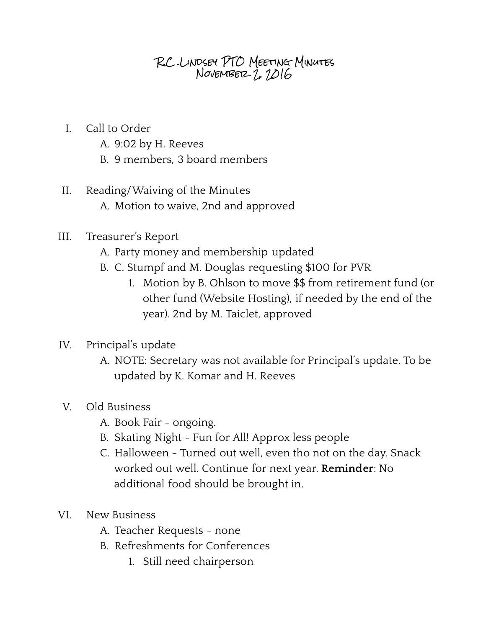## R.C .Lindsey PTO Meeting Minutes November 2, 2016

- I. Call to Order
	- A. 9:02 by H. Reeves
	- B. 9 members, 3 board members
- II. Reading/Waiving of the Minutes A. Motion to waive, 2nd and approved
- III. Treasurer's Report
	- A. Party money and membership updated
	- B. C. Stumpf and M. Douglas requesting \$100 for PVR
		- 1. Motion by B. Ohlson to move \$\$ from retirement fund (or other fund (Website Hosting), if needed by the end of the year). 2nd by M. Taiclet, approved
- IV. Principal's update
	- A. NOTE: Secretary was not available for Principal's update. To be updated by K. Komar and H. Reeves
- V. Old Business
	- A. Book Fair ongoing.
	- B. Skating Night Fun for All! Approx less people
	- C. Halloween Turned out well, even tho not on the day. Snack worked out well. Continue for next year. **Reminder** : No additional food should be brought in.
- VI. New Business
	- A. Teacher Requests none
	- B. Refreshments for Conferences
		- 1. Still need chairperson